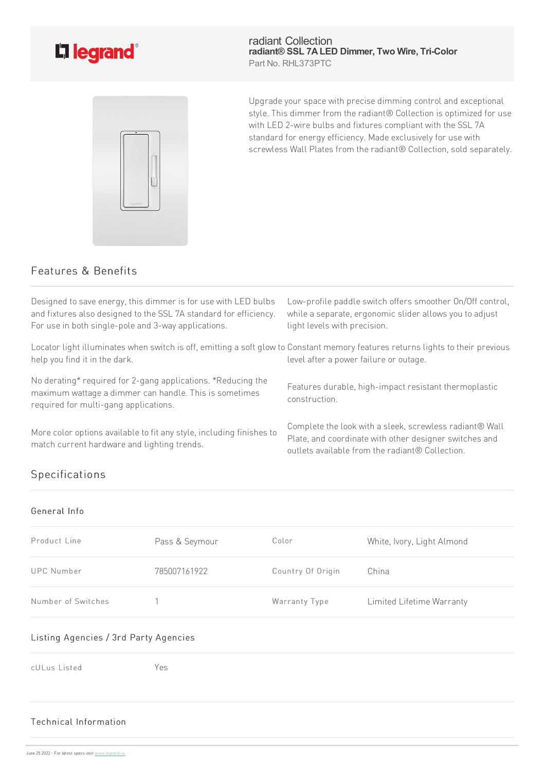

radiant Collection **radiant® SSL 7ALED Dimmer, Two Wire, Tri-Color** Part No. RHL373PTC



Upgrade your space with precise dimming control and exceptional style. This dimmer from the radiant® Collection is optimized for use with LED 2-wire bulbs and fixtures compliant with the SSL 7A standard for energy efficiency. Made exclusively for use with screwless Wall Plates from the radiant® Collection, sold separately.

## Features & Benefits

| Designed to save energy, this dimmer is for use with LED bulbs<br>and fixtures also designed to the SSL 7A standard for efficiency.<br>For use in both single-pole and 3-way applications. | Low-profile paddle switch offers smoother On/Off control,<br>while a separate, ergonomic slider allows you to adjust<br>light levels with precision.                 |
|--------------------------------------------------------------------------------------------------------------------------------------------------------------------------------------------|----------------------------------------------------------------------------------------------------------------------------------------------------------------------|
| Locator light illuminates when switch is off, emitting a soft glow to Constant memory features returns lights to their previous<br>help you find it in the dark.                           | level after a power failure or outage.                                                                                                                               |
| No derating* required for 2-gang applications. *Reducing the<br>maximum wattage a dimmer can handle. This is sometimes<br>required for multi-gang applications.                            | Features durable, high-impact resistant thermoplastic<br>construction.                                                                                               |
| More color options available to fit any style, including finishes to<br>match current hardware and lighting trends.                                                                        | Complete the look with a sleek, screwless radiant® Wall<br>Plate, and coordinate with other designer switches and<br>outlets available from the radiant® Collection. |

## Specifications

| General Info       |                |                   |                            |
|--------------------|----------------|-------------------|----------------------------|
| Product Line       | Pass & Seymour | Color             | White, Ivory, Light Almond |
| <b>UPC Number</b>  | 785007161922   | Country Of Origin | China                      |
| Number of Switches |                | Warranty Type     | Limited Lifetime Warranty  |

## Listing Agencies / 3rd Party Agencies

cULus Listed Yes

## Technical Info[rmation](https://www.legrand.us)